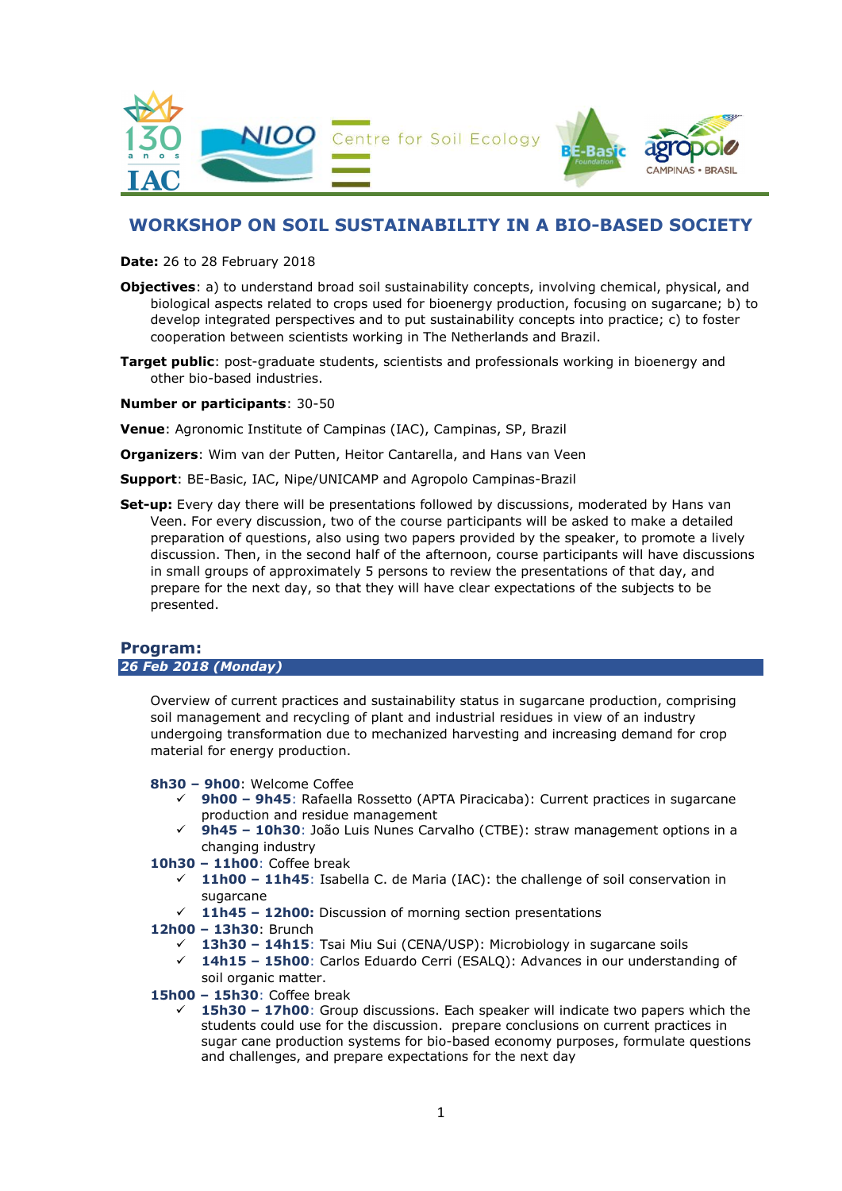

# WORKSHOP ON SOIL SUSTAINABILITY IN A BIO-BASED SOCIETY

Date: 26 to 28 February 2018

- Objectives: a) to understand broad soil sustainability concepts, involving chemical, physical, and biological aspects related to crops used for bioenergy production, focusing on sugarcane; b) to develop integrated perspectives and to put sustainability concepts into practice; c) to foster cooperation between scientists working in The Netherlands and Brazil.
- Target public: post-graduate students, scientists and professionals working in bioenergy and other bio-based industries.

### Number or participants: 30-50

Venue: Agronomic Institute of Campinas (IAC), Campinas, SP, Brazil

Organizers: Wim van der Putten, Heitor Cantarella, and Hans van Veen

Support: BE-Basic, IAC, Nipe/UNICAMP and Agropolo Campinas-Brazil

Set-up: Every day there will be presentations followed by discussions, moderated by Hans van Veen. For every discussion, two of the course participants will be asked to make a detailed preparation of questions, also using two papers provided by the speaker, to promote a lively discussion. Then, in the second half of the afternoon, course participants will have discussions in small groups of approximately 5 persons to review the presentations of that day, and prepare for the next day, so that they will have clear expectations of the subjects to be presented.

### Program: 26 Feb 2018 (Monday)

Overview of current practices and sustainability status in sugarcane production, comprising soil management and recycling of plant and industrial residues in view of an industry undergoing transformation due to mechanized harvesting and increasing demand for crop material for energy production.

8h30 – 9h00: Welcome Coffee

- $\checkmark$  9h00 9h45: Rafaella Rossetto (APTA Piracicaba): Current practices in sugarcane production and residue management
- $\checkmark$  9h45 10h30: João Luis Nunes Carvalho (CTBE): straw management options in a changing industry
- 10h30 11h00: Coffee break
	- $\checkmark$  11h00 11h45: Isabella C. de Maria (IAC): the challenge of soil conservation in sugarcane
	- $\checkmark$  11h45 12h00: Discussion of morning section presentations
- 12h00 13h30: Brunch
	- 13h30 14h15: Tsai Miu Sui (CENA/USP): Microbiology in sugarcane soils
	- 14h15 15h00: Carlos Eduardo Cerri (ESALQ): Advances in our understanding of soil organic matter.
- 15h00 15h30: Coffee break
	- 15h30 17h00: Group discussions. Each speaker will indicate two papers which the students could use for the discussion. prepare conclusions on current practices in sugar cane production systems for bio-based economy purposes, formulate questions and challenges, and prepare expectations for the next day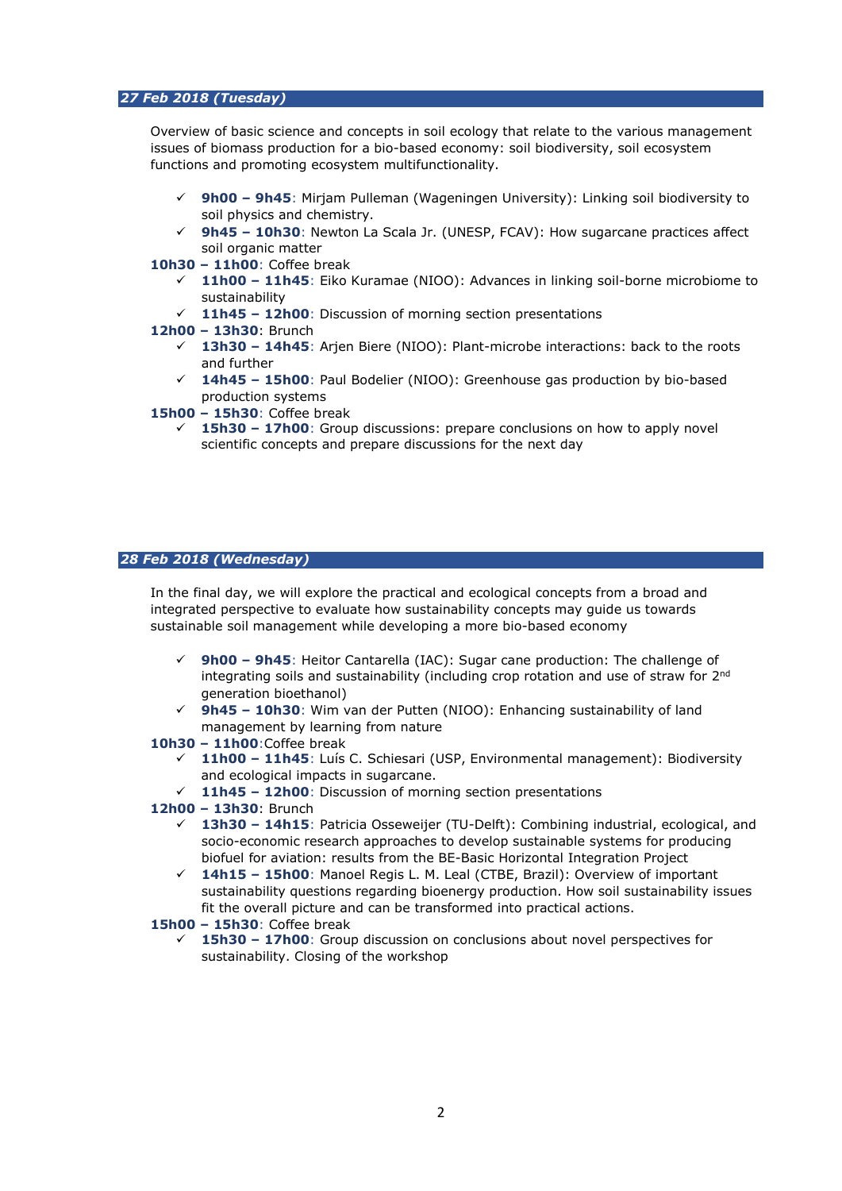## 27 Feb 2018 (Tuesday)

Overview of basic science and concepts in soil ecology that relate to the various management issues of biomass production for a bio-based economy: soil biodiversity, soil ecosystem functions and promoting ecosystem multifunctionality.

- $\checkmark$  9h00 9h45: Mirjam Pulleman (Wageningen University): Linking soil biodiversity to soil physics and chemistry.
- 9h45 10h30: Newton La Scala Jr. (UNESP, FCAV): How sugarcane practices affect soil organic matter
- 10h30 11h00: Coffee break
	- 11h00 11h45: Eiko Kuramae (NIOO): Advances in linking soil-borne microbiome to sustainability
	- $\checkmark$  11h45 12h00: Discussion of morning section presentations
- 12h00 13h30: Brunch
	- 13h30 14h45: Arjen Biere (NIOO): Plant-microbe interactions: back to the roots and further
	- $\checkmark$  14h45 15h00: Paul Bodelier (NIOO): Greenhouse gas production by bio-based production systems
- 15h00 15h30: Coffee break
	- 15h30 17h00: Group discussions: prepare conclusions on how to apply novel scientific concepts and prepare discussions for the next day

#### 28 Feb 2018 (Wednesday)

In the final day, we will explore the practical and ecological concepts from a broad and integrated perspective to evaluate how sustainability concepts may guide us towards sustainable soil management while developing a more bio-based economy

- 9h00 9h45: Heitor Cantarella (IAC): Sugar cane production: The challenge of integrating soils and sustainability (including crop rotation and use of straw for 2nd generation bioethanol)
- 9h45 10h30: Wim van der Putten (NIOO): Enhancing sustainability of land management by learning from nature

#### 10h30 – 11h00:Coffee break

- $\checkmark$  11h00 11h45: Luís C. Schiesari (USP, Environmental management): Biodiversity and ecological impacts in sugarcane.
- $\checkmark$  11h45 12h00: Discussion of morning section presentations
- 12h00 13h30: Brunch
	- 13h30 14h15: Patricia Osseweijer (TU-Delft): Combining industrial, ecological, and socio-economic research approaches to develop sustainable systems for producing biofuel for aviation: results from the BE-Basic Horizontal Integration Project
	- 14h15 15h00: Manoel Regis L. M. Leal (CTBE, Brazil): Overview of important sustainability questions regarding bioenergy production. How soil sustainability issues fit the overall picture and can be transformed into practical actions.
- 15h00 15h30: Coffee break
	- 15h30 17h00: Group discussion on conclusions about novel perspectives for sustainability. Closing of the workshop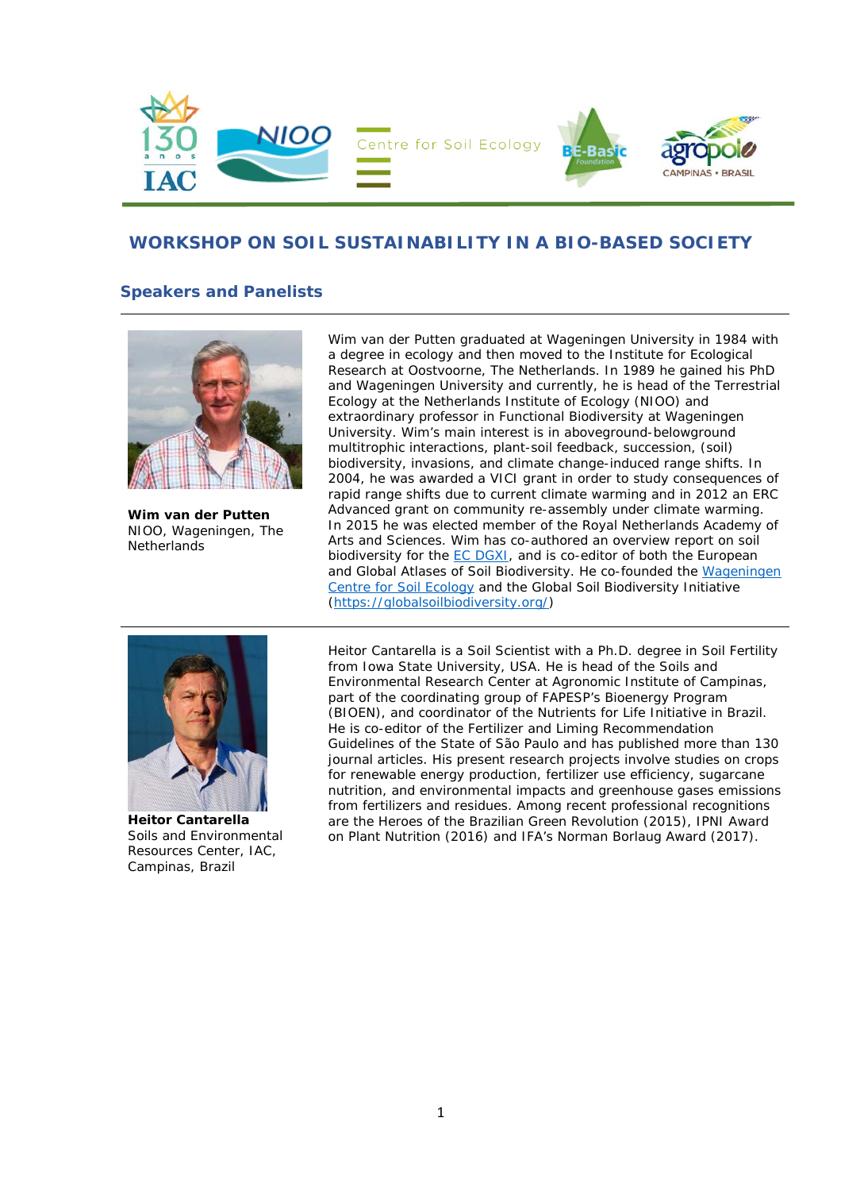

# **WORKSHOP ON SOIL SUSTAINABILITY IN A BIO-BASED SOCIETY**

# **Speakers and Panelists**



**Wim van der Putten**  NIOO, Wageningen, The **Netherlands** 

Wim van der Putten graduated at Wageningen University in 1984 with a degree in ecology and then moved to the Institute for Ecological Research at Oostvoorne, The Netherlands. In 1989 he gained his PhD and Wageningen University and currently, he is head of the Terrestrial Ecology at the Netherlands Institute of Ecology (NIOO) and extraordinary professor in Functional Biodiversity at Wageningen University. Wim's main interest is in aboveground-belowground multitrophic interactions, plant-soil feedback, succession, (soil) biodiversity, invasions, and climate change-induced range shifts. In 2004, he was awarded a VICI grant in order to study consequences of rapid range shifts due to current climate warming and in 2012 an ERC Advanced grant on community re-assembly under climate warming. In 2015 he was elected member of the Royal Netherlands Academy of Arts and Sciences. Wim has co-authored an overview report on soil biodiversity for the **EC DGXI**, and is co-editor of both the European and Global Atlases of Soil Biodiversity. He co-founded the Wageningen Centre for Soil Ecology and the Global Soil Biodiversity Initiative (https://globalsoilbiodiversity.org/)



**Heitor Cantarella**  Soils and Environmental Resources Center, IAC, Campinas, Brazil

Heitor Cantarella is a Soil Scientist with a Ph.D. degree in Soil Fertility from Iowa State University, USA. He is head of the Soils and Environmental Research Center at Agronomic Institute of Campinas, part of the coordinating group of FAPESP's Bioenergy Program (BIOEN), and coordinator of the Nutrients for Life Initiative in Brazil. He is co-editor of the Fertilizer and Liming Recommendation Guidelines of the State of São Paulo and has published more than 130 journal articles. His present research projects involve studies on crops for renewable energy production, fertilizer use efficiency, sugarcane nutrition, and environmental impacts and greenhouse gases emissions from fertilizers and residues. Among recent professional recognitions are the Heroes of the Brazilian Green Revolution (2015), IPNI Award on Plant Nutrition (2016) and IFA's Norman Borlaug Award (2017).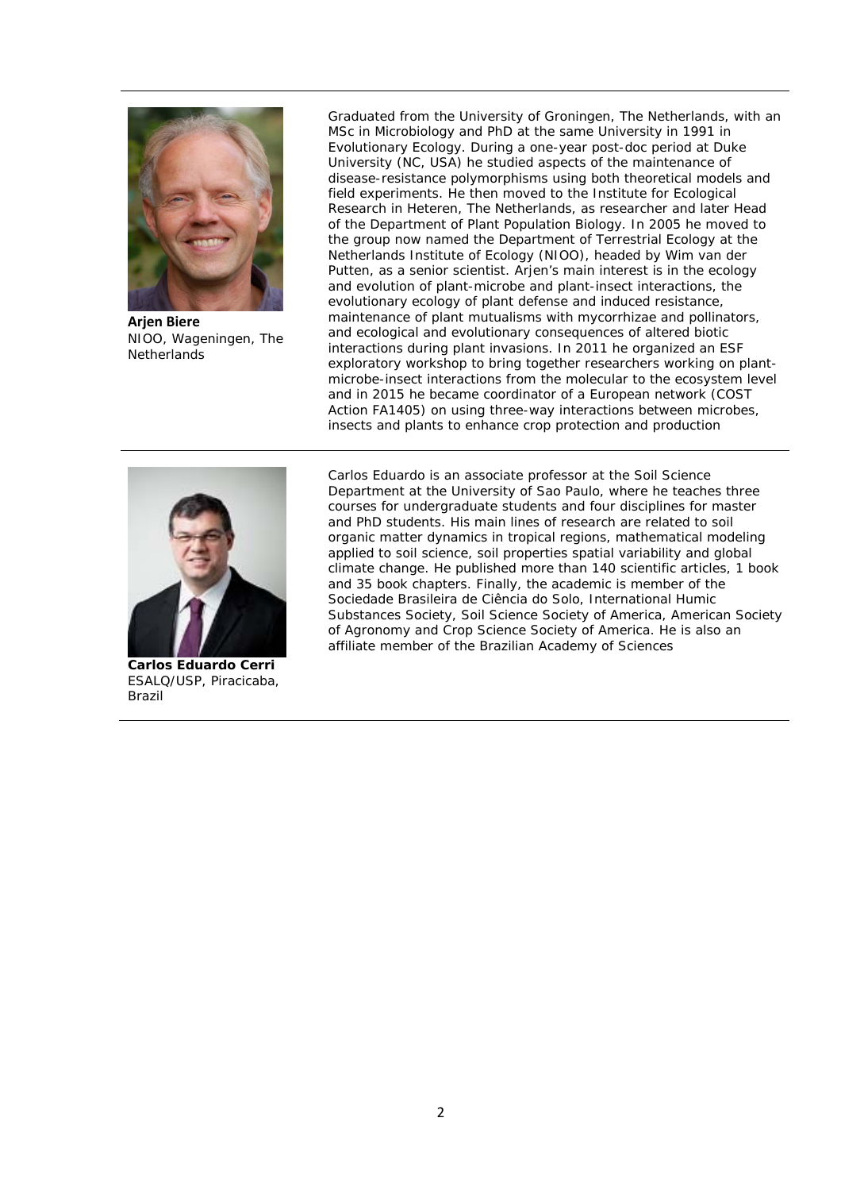

**Arjen Biere** NIOO, Wageningen, The **Netherlands** 

Graduated from the University of Groningen, The Netherlands, with an MSc in Microbiology and PhD at the same University in 1991 in Evolutionary Ecology. During a one-year post-doc period at Duke University (NC, USA) he studied aspects of the maintenance of disease-resistance polymorphisms using both theoretical models and field experiments. He then moved to the Institute for Ecological Research in Heteren, The Netherlands, as researcher and later Head of the Department of Plant Population Biology. In 2005 he moved to the group now named the Department of Terrestrial Ecology at the Netherlands Institute of Ecology (NIOO), headed by Wim van der Putten, as a senior scientist. Arjen's main interest is in the ecology and evolution of plant-microbe and plant-insect interactions, the evolutionary ecology of plant defense and induced resistance, maintenance of plant mutualisms with mycorrhizae and pollinators, and ecological and evolutionary consequences of altered biotic interactions during plant invasions. In 2011 he organized an ESF exploratory workshop to bring together researchers working on plantmicrobe-insect interactions from the molecular to the ecosystem level and in 2015 he became coordinator of a European network (COST Action FA1405) on using three-way interactions between microbes, insects and plants to enhance crop protection and production



**Carlos Eduardo Cerri**  ESALQ/USP, Piracicaba, Brazil

Carlos Eduardo is an associate professor at the Soil Science Department at the University of Sao Paulo, where he teaches three courses for undergraduate students and four disciplines for master and PhD students. His main lines of research are related to soil organic matter dynamics in tropical regions, mathematical modeling applied to soil science, soil properties spatial variability and global climate change. He published more than 140 scientific articles, 1 book and 35 book chapters. Finally, the academic is member of the Sociedade Brasileira de Ciência do Solo, International Humic Substances Society, Soil Science Society of America, American Society of Agronomy and Crop Science Society of America. He is also an affiliate member of the Brazilian Academy of Sciences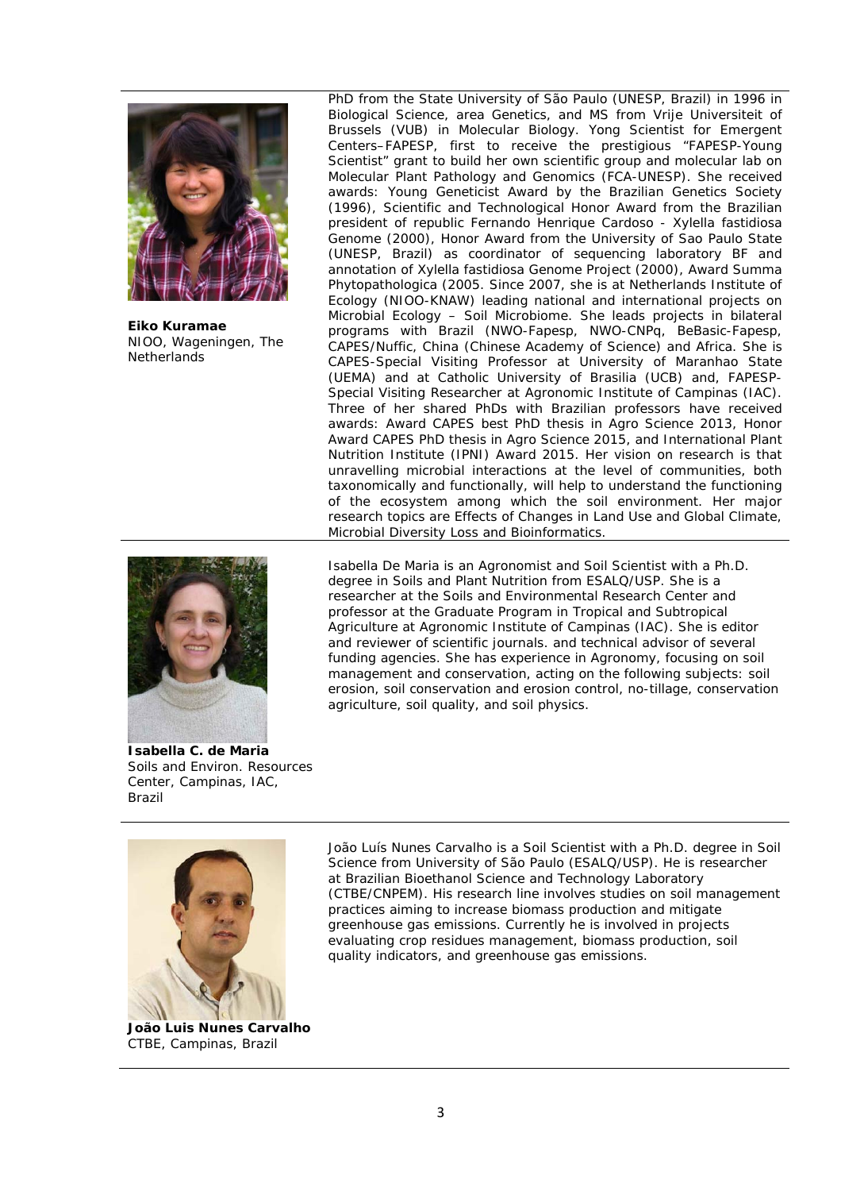

**Eiko Kuramae**  NIOO, Wageningen, The **Netherlands** 

PhD from the State University of São Paulo (UNESP, Brazil) in 1996 in Biological Science, area Genetics, and MS from Vrije Universiteit of Brussels (VUB) in Molecular Biology. Yong Scientist for Emergent Centers–FAPESP, first to receive the prestigious "FAPESP-Young Scientist" grant to build her own scientific group and molecular lab on Molecular Plant Pathology and Genomics (FCA-UNESP). She received awards: Young Geneticist Award by the Brazilian Genetics Society (1996), Scientific and Technological Honor Award from the Brazilian president of republic Fernando Henrique Cardoso - *Xylella fastidiosa* Genome (2000), Honor Award from the University of Sao Paulo State (UNESP, Brazil) as coordinator of sequencing laboratory BF and annotation of *Xylella fastidiosa* Genome Project (2000), Award Summa Phytopathologica (2005. Since 2007, she is at Netherlands Institute of Ecology (NIOO-KNAW) leading national and international projects on Microbial Ecology – Soil Microbiome. She leads projects in bilateral programs with Brazil (NWO-Fapesp, NWO-CNPq, BeBasic-Fapesp, CAPES/Nuffic, China (Chinese Academy of Science) and Africa. She is CAPES-Special Visiting Professor at University of Maranhao State (UEMA) and at Catholic University of Brasilia (UCB) and, FAPESP-Special Visiting Researcher at Agronomic Institute of Campinas (IAC). Three of her shared PhDs with Brazilian professors have received awards: Award CAPES best PhD thesis in Agro Science 2013, Honor Award CAPES PhD thesis in Agro Science 2015, and International Plant Nutrition Institute (IPNI) Award 2015. Her vision on research is that unravelling microbial interactions at the level of communities, both taxonomically and functionally, will help to understand the functioning of the ecosystem among which the soil environment. Her major research topics are Effects of Changes in Land Use and Global Climate, Microbial Diversity Loss and Bioinformatics.



**Isabella C. de Maria**  Soils and Environ. Resources Center, Campinas, IAC, Brazil

Isabella De Maria is an Agronomist and Soil Scientist with a Ph.D. degree in Soils and Plant Nutrition from ESALQ/USP. She is a researcher at the Soils and Environmental Research Center and professor at the Graduate Program in Tropical and Subtropical Agriculture at Agronomic Institute of Campinas (IAC). She is editor and reviewer of scientific journals. and technical advisor of several funding agencies. She has experience in Agronomy, focusing on soil management and conservation, acting on the following subjects: soil erosion, soil conservation and erosion control, no-tillage, conservation agriculture, soil quality, and soil physics.



João Luís Nunes Carvalho is a Soil Scientist with a Ph.D. degree in Soil Science from University of São Paulo (ESALQ/USP). He is researcher at Brazilian Bioethanol Science and Technology Laboratory (CTBE/CNPEM). His research line involves studies on soil management practices aiming to increase biomass production and mitigate greenhouse gas emissions. Currently he is involved in projects evaluating crop residues management, biomass production, soil quality indicators, and greenhouse gas emissions.

**João Luis Nunes Carvalho**  CTBE, Campinas, Brazil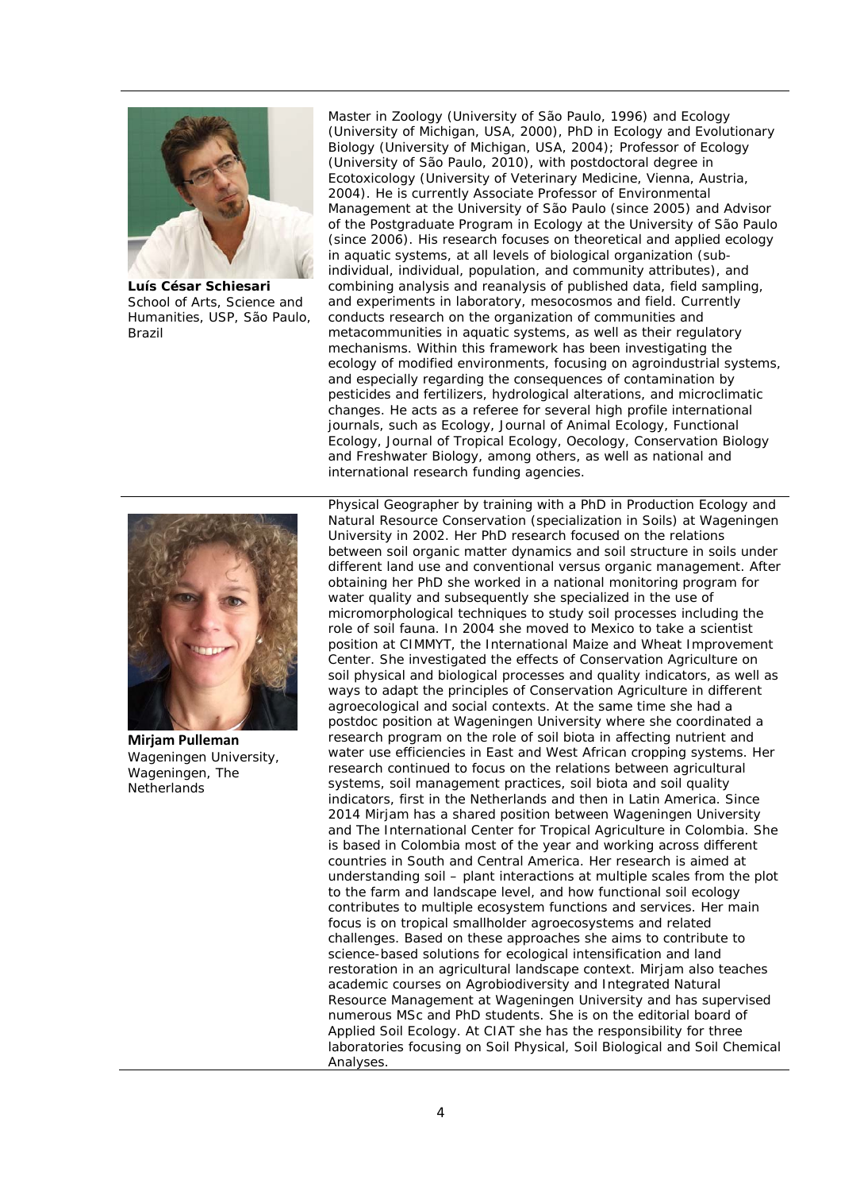

**Luís César Schiesari**  School of Arts, Science and Humanities, USP, São Paulo, Brazil

Master in Zoology (University of São Paulo, 1996) and Ecology (University of Michigan, USA, 2000), PhD in Ecology and Evolutionary Biology (University of Michigan, USA, 2004); Professor of Ecology (University of São Paulo, 2010), with postdoctoral degree in Ecotoxicology (University of Veterinary Medicine, Vienna, Austria, 2004). He is currently Associate Professor of Environmental Management at the University of São Paulo (since 2005) and Advisor of the Postgraduate Program in Ecology at the University of São Paulo (since 2006). His research focuses on theoretical and applied ecology in aquatic systems, at all levels of biological organization (subindividual, individual, population, and community attributes), and combining analysis and reanalysis of published data, field sampling, and experiments in laboratory, mesocosmos and field. Currently conducts research on the organization of communities and metacommunities in aquatic systems, as well as their regulatory mechanisms. Within this framework has been investigating the ecology of modified environments, focusing on agroindustrial systems, and especially regarding the consequences of contamination by pesticides and fertilizers, hydrological alterations, and microclimatic changes. He acts as a referee for several high profile international journals, such as Ecology, Journal of Animal Ecology, Functional Ecology, Journal of Tropical Ecology, Oecology, Conservation Biology and Freshwater Biology, among others, as well as national and international research funding agencies.



**Mirjam Pulleman**  Wageningen University, Wageningen, The **Netherlands** 

Physical Geographer by training with a PhD in Production Ecology and Natural Resource Conservation (specialization in Soils) at Wageningen University in 2002. Her PhD research focused on the relations between soil organic matter dynamics and soil structure in soils under different land use and conventional versus organic management. After obtaining her PhD she worked in a national monitoring program for water quality and subsequently she specialized in the use of micromorphological techniques to study soil processes including the role of soil fauna. In 2004 she moved to Mexico to take a scientist position at CIMMYT, the International Maize and Wheat Improvement Center. She investigated the effects of Conservation Agriculture on soil physical and biological processes and quality indicators, as well as ways to adapt the principles of Conservation Agriculture in different agroecological and social contexts. At the same time she had a postdoc position at Wageningen University where she coordinated a research program on the role of soil biota in affecting nutrient and water use efficiencies in East and West African cropping systems. Her research continued to focus on the relations between agricultural systems, soil management practices, soil biota and soil quality indicators, first in the Netherlands and then in Latin America. Since 2014 Mirjam has a shared position between Wageningen University and The International Center for Tropical Agriculture in Colombia. She is based in Colombia most of the year and working across different countries in South and Central America. Her research is aimed at understanding soil – plant interactions at multiple scales from the plot to the farm and landscape level, and how functional soil ecology contributes to multiple ecosystem functions and services. Her main focus is on tropical smallholder agroecosystems and related challenges. Based on these approaches she aims to contribute to science-based solutions for ecological intensification and land restoration in an agricultural landscape context. Mirjam also teaches academic courses on Agrobiodiversity and Integrated Natural Resource Management at Wageningen University and has supervised numerous MSc and PhD students. She is on the editorial board of Applied Soil Ecology. At CIAT she has the responsibility for three laboratories focusing on Soil Physical, Soil Biological and Soil Chemical Analyses.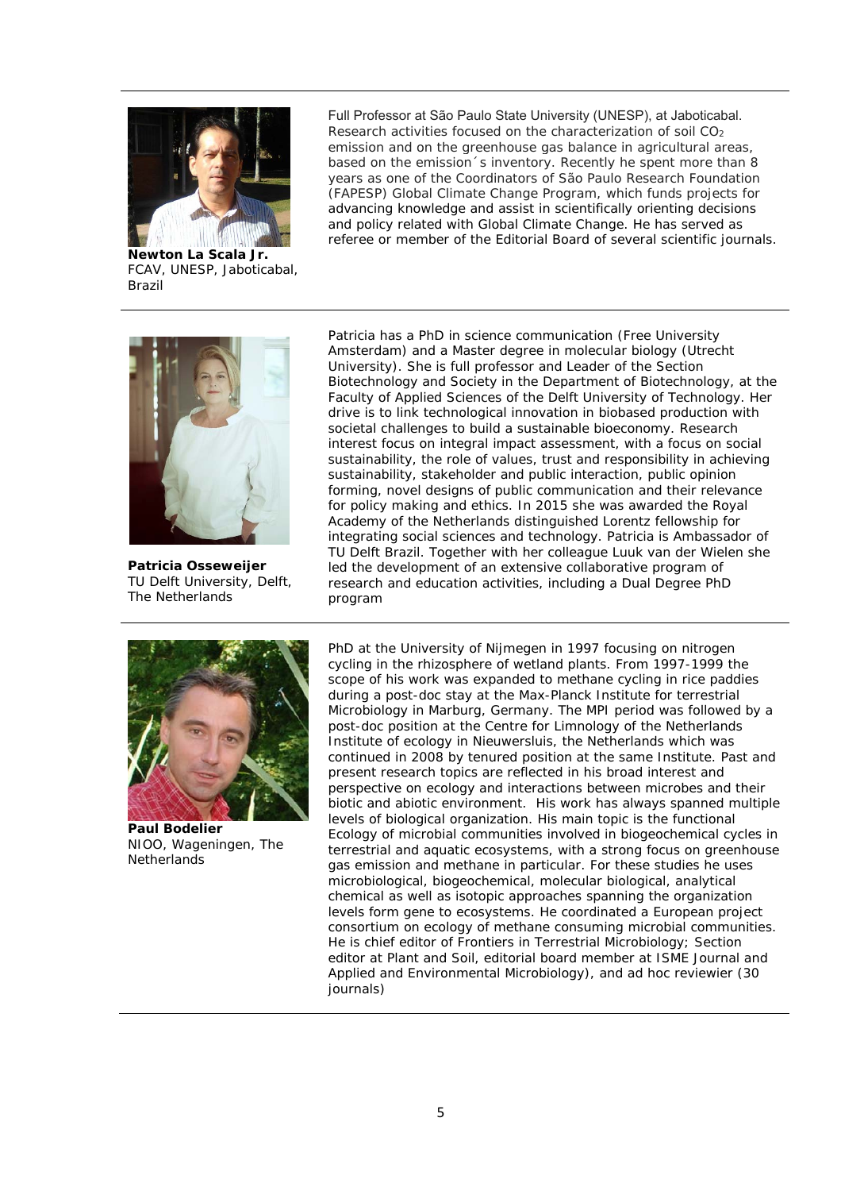

**Newton La Scala Jr.**  FCAV, UNESP, Jaboticabal, Brazil

Full Professor at São Paulo State University (UNESP), at Jaboticabal. Research activities focused on the characterization of soil CO<sub>2</sub> emission and on the greenhouse gas balance in agricultural areas, based on the emission´s inventory. Recently he spent more than 8 years as one of the Coordinators of São Paulo Research Foundation (FAPESP) Global Climate Change Program, which funds projects for advancing knowledge and assist in scientifically orienting decisions and policy related with Global Climate Change. He has served as referee or member of the Editorial Board of several scientific journals.



**Patricia Osseweijer**  TU Delft University, Delft, The Netherlands

Patricia has a PhD in science communication (Free University Amsterdam) and a Master degree in molecular biology (Utrecht University). She is full professor and Leader of the Section Biotechnology and Society in the Department of Biotechnology, at the Faculty of Applied Sciences of the Delft University of Technology. Her drive is to link technological innovation in biobased production with societal challenges to build a sustainable bioeconomy. Research interest focus on integral impact assessment, with a focus on social sustainability, the role of values, trust and responsibility in achieving sustainability, stakeholder and public interaction, public opinion forming, novel designs of public communication and their relevance for policy making and ethics. In 2015 she was awarded the Royal Academy of the Netherlands distinguished Lorentz fellowship for integrating social sciences and technology. Patricia is Ambassador of TU Delft Brazil. Together with her colleague Luuk van der Wielen she led the development of an extensive collaborative program of research and education activities, including a Dual Degree PhD program



**Paul Bodelier**  NIOO, Wageningen, The **Netherlands** 

PhD at the University of Nijmegen in 1997 focusing on nitrogen cycling in the rhizosphere of wetland plants. From 1997-1999 the scope of his work was expanded to methane cycling in rice paddies during a post-doc stay at the Max-Planck Institute for terrestrial Microbiology in Marburg, Germany. The MPI period was followed by a post-doc position at the Centre for Limnology of the Netherlands Institute of ecology in Nieuwersluis, the Netherlands which was continued in 2008 by tenured position at the same Institute. Past and present research topics are reflected in his broad interest and perspective on ecology and interactions between microbes and their biotic and abiotic environment. His work has always spanned multiple levels of biological organization. His main topic is the functional Ecology of microbial communities involved in biogeochemical cycles in terrestrial and aquatic ecosystems, with a strong focus on greenhouse gas emission and methane in particular. For these studies he uses microbiological, biogeochemical, molecular biological, analytical chemical as well as isotopic approaches spanning the organization levels form gene to ecosystems. He coordinated a European project consortium on ecology of methane consuming microbial communities. He is chief editor of Frontiers in Terrestrial Microbiology; Section editor at Plant and Soil, editorial board member at ISME Journal and Applied and Environmental Microbiology), and ad hoc reviewier (30 journals)